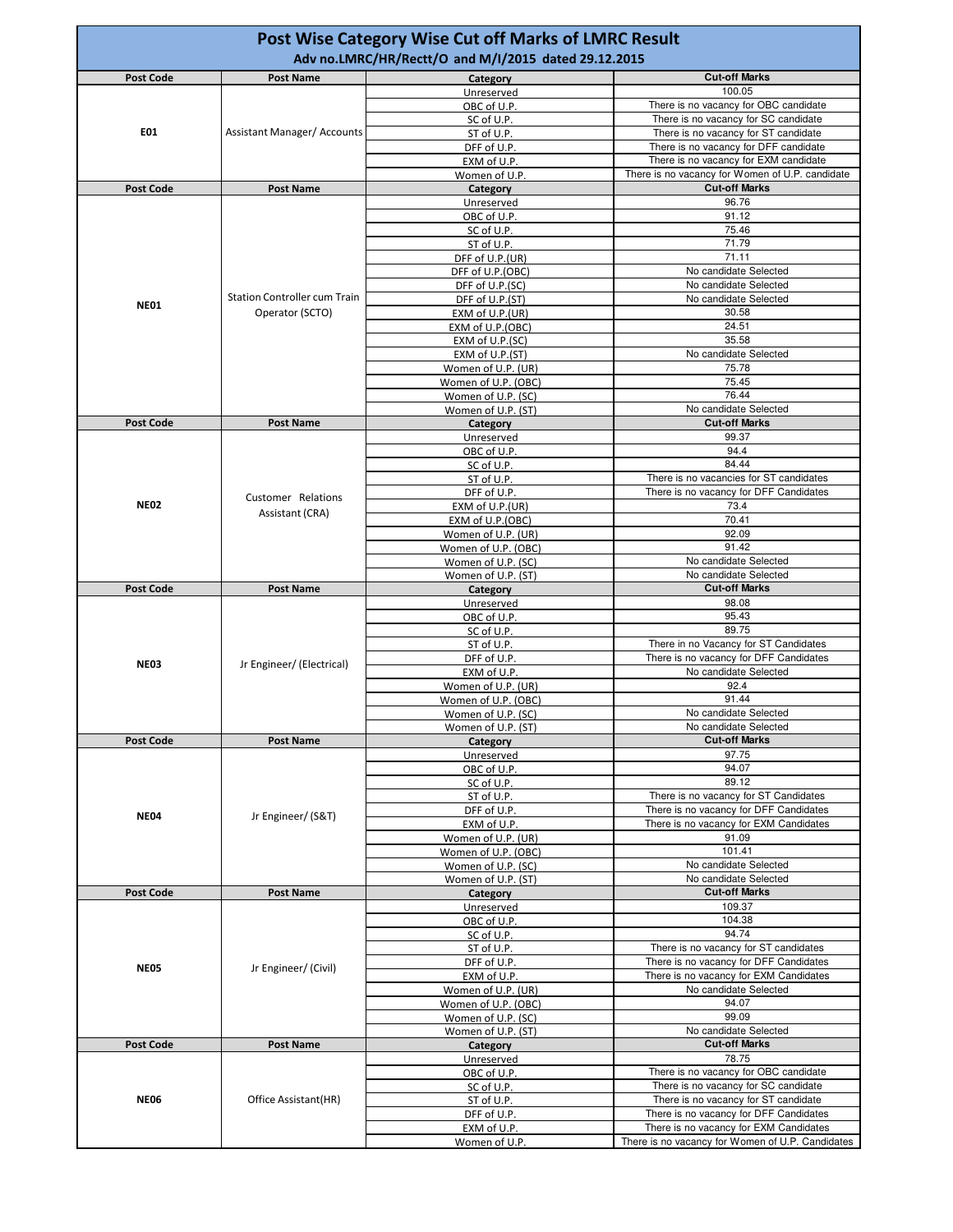| <b>Post Code</b><br><b>Post Name</b><br>Category                      | <b>Post Wise Category Wise Cut off Marks of LMRC Result</b><br>Adv no.LMRC/HR/Rectt/O and M/I/2015 dated 29.12.2015 |  |  |  |  |
|-----------------------------------------------------------------------|---------------------------------------------------------------------------------------------------------------------|--|--|--|--|
|                                                                       | <b>Cut-off Marks</b>                                                                                                |  |  |  |  |
| Unreserved                                                            | 100.05                                                                                                              |  |  |  |  |
| OBC of U.P.                                                           | There is no vacancy for OBC candidate                                                                               |  |  |  |  |
| SC of U.P.<br>E01<br><b>Assistant Manager/ Accounts</b><br>ST of U.P. | There is no vacancy for SC candidate<br>There is no vacancy for ST candidate                                        |  |  |  |  |
| DFF of U.P.                                                           | There is no vacancy for DFF candidate                                                                               |  |  |  |  |
| EXM of U.P.                                                           | There is no vacancy for EXM candidate                                                                               |  |  |  |  |
| Women of U.P.                                                         | There is no vacancy for Women of U.P. candidate                                                                     |  |  |  |  |
| Post Code<br><b>Post Name</b><br>Category                             | <b>Cut-off Marks</b>                                                                                                |  |  |  |  |
| Unreserved                                                            | 96.76<br>91.12                                                                                                      |  |  |  |  |
| OBC of U.P.<br>SC of U.P.                                             | 75.46                                                                                                               |  |  |  |  |
| ST of U.P.                                                            | 71.79                                                                                                               |  |  |  |  |
| DFF of U.P.(UR)                                                       | 71.11                                                                                                               |  |  |  |  |
| DFF of U.P.(OBC)                                                      | No candidate Selected                                                                                               |  |  |  |  |
| DFF of U.P.(SC)<br><b>Station Controller cum Train</b>                | No candidate Selected                                                                                               |  |  |  |  |
| DFF of U.P.(ST)<br><b>NE01</b><br>Operator (SCTO)<br>EXM of U.P.(UR)  | No candidate Selected<br>30.58                                                                                      |  |  |  |  |
| EXM of U.P.(OBC)                                                      | 24.51                                                                                                               |  |  |  |  |
| EXM of U.P.(SC)                                                       | 35.58                                                                                                               |  |  |  |  |
| EXM of U.P.(ST)                                                       | No candidate Selected                                                                                               |  |  |  |  |
| Women of U.P. (UR)                                                    | 75.78                                                                                                               |  |  |  |  |
| Women of U.P. (OBC)                                                   | 75.45<br>76.44                                                                                                      |  |  |  |  |
| Women of U.P. (SC)<br>Women of U.P. (ST)                              | No candidate Selected                                                                                               |  |  |  |  |
| <b>Post Code</b><br><b>Post Name</b><br>Category                      | <b>Cut-off Marks</b>                                                                                                |  |  |  |  |
| Unreserved                                                            | 99.37                                                                                                               |  |  |  |  |
| OBC of U.P.                                                           | 94.4                                                                                                                |  |  |  |  |
| SC of U.P.                                                            | 84.44                                                                                                               |  |  |  |  |
| ST of U.P.                                                            | There is no vacancies for ST candidates                                                                             |  |  |  |  |
| DFF of U.P.<br>Customer Relations<br><b>NE02</b>                      | There is no vacancy for DFF Candidates<br>73.4                                                                      |  |  |  |  |
| EXM of U.P.(UR)<br>Assistant (CRA)<br>EXM of U.P.(OBC)                | 70.41                                                                                                               |  |  |  |  |
| Women of U.P. (UR)                                                    | 92.09                                                                                                               |  |  |  |  |
| Women of U.P. (OBC)                                                   | 91.42                                                                                                               |  |  |  |  |
| Women of U.P. (SC)                                                    | No candidate Selected                                                                                               |  |  |  |  |
| Women of U.P. (ST)                                                    | No candidate Selected                                                                                               |  |  |  |  |
|                                                                       |                                                                                                                     |  |  |  |  |
| <b>Post Code</b><br><b>Post Name</b><br>Category                      | <b>Cut-off Marks</b>                                                                                                |  |  |  |  |
| Unreserved<br>OBC of U.P.                                             | 98.08<br>95.43                                                                                                      |  |  |  |  |
| SC of U.P.                                                            | 89.75                                                                                                               |  |  |  |  |
| ST of U.P.                                                            | There in no Vacancy for ST Candidates                                                                               |  |  |  |  |
| DFF of U.P.<br><b>NE03</b><br>Jr Engineer/ (Electrical)               | There is no vacancy for DFF Candidates                                                                              |  |  |  |  |
| EXM of U.P.                                                           | No candidate Selected                                                                                               |  |  |  |  |
| Women of U.P. (UR)<br>Women of U.P. (OBC)                             | 92.4<br>91.44                                                                                                       |  |  |  |  |
| Women of U.P. (SC)                                                    | No candidate Selected                                                                                               |  |  |  |  |
| Women of U.P. (ST)                                                    | No candidate Selected                                                                                               |  |  |  |  |
| <b>Post Code</b><br><b>Post Name</b><br>Category                      | <b>Cut-off Marks</b>                                                                                                |  |  |  |  |
| Unreserved                                                            | 97.75                                                                                                               |  |  |  |  |
| OBC of U.P.                                                           | 94.07<br>89.12                                                                                                      |  |  |  |  |
| SC of U.P.<br>ST of U.P.                                              | There is no vacancy for ST Candidates                                                                               |  |  |  |  |
| DFF of U.P.                                                           | There is no vacancy for DFF Candidates                                                                              |  |  |  |  |
| <b>NE04</b><br>Jr Engineer/ (S&T)<br>EXM of U.P.                      | There is no vacancy for EXM Candidates                                                                              |  |  |  |  |
| Women of U.P. (UR)                                                    | 91.09                                                                                                               |  |  |  |  |
| Women of U.P. (OBC)                                                   | 101.41                                                                                                              |  |  |  |  |
| Women of U.P. (SC)<br>Women of U.P. (ST)                              | No candidate Selected<br>No candidate Selected                                                                      |  |  |  |  |
| Post Code<br><b>Post Name</b><br>Category                             | <b>Cut-off Marks</b>                                                                                                |  |  |  |  |
| Unreserved                                                            | 109.37                                                                                                              |  |  |  |  |
| OBC of U.P.                                                           | 104.38                                                                                                              |  |  |  |  |
| SC of U.P.                                                            | 94.74                                                                                                               |  |  |  |  |
| ST of U.P.<br>DFF of U.P.                                             | There is no vacancy for ST candidates<br>There is no vacancy for DFF Candidates                                     |  |  |  |  |
| <b>NE05</b><br>Jr Engineer/ (Civil)<br>EXM of U.P.                    | There is no vacancy for EXM Candidates                                                                              |  |  |  |  |
| Women of U.P. (UR)                                                    | No candidate Selected                                                                                               |  |  |  |  |
| Women of U.P. (OBC)                                                   | 94.07                                                                                                               |  |  |  |  |
| Women of U.P. (SC)                                                    | 99.09                                                                                                               |  |  |  |  |
| Women of U.P. (ST)                                                    | No candidate Selected<br><b>Cut-off Marks</b>                                                                       |  |  |  |  |
| Post Code<br><b>Post Name</b><br>Category<br>Unreserved               | 78.75                                                                                                               |  |  |  |  |
| OBC of U.P.                                                           | There is no vacancy for OBC candidate                                                                               |  |  |  |  |
| SC of U.P.                                                            | There is no vacancy for SC candidate                                                                                |  |  |  |  |
| <b>NE06</b><br>Office Assistant(HR)<br>ST of U.P.                     | There is no vacancy for ST candidate                                                                                |  |  |  |  |
| DFF of U.P.<br>EXM of U.P.                                            | There is no vacancy for DFF Candidates<br>There is no vacancy for EXM Candidates                                    |  |  |  |  |